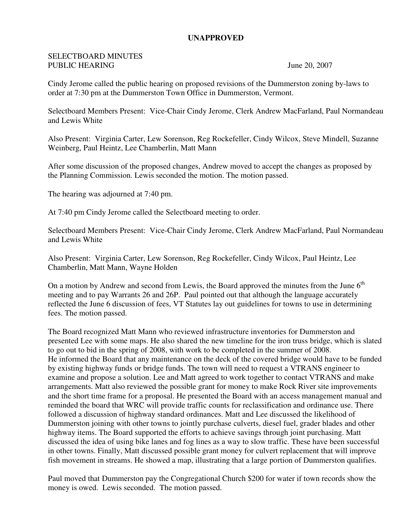## **UNAPPROVED**

## SELECTBOARD MINUTES PUBLIC HEARING June 20, 2007

Cindy Jerome called the public hearing on proposed revisions of the Dummerston zoning by-laws to order at 7:30 pm at the Dummerston Town Office in Dummerston, Vermont.

Selectboard Members Present: Vice-Chair Cindy Jerome, Clerk Andrew MacFarland, Paul Normandeau and Lewis White

Also Present: Virginia Carter, Lew Sorenson, Reg Rockefeller, Cindy Wilcox, Steve Mindell, Suzanne Weinberg, Paul Heintz, Lee Chamberlin, Matt Mann

After some discussion of the proposed changes, Andrew moved to accept the changes as proposed by the Planning Commission. Lewis seconded the motion. The motion passed.

The hearing was adjourned at 7:40 pm.

At 7:40 pm Cindy Jerome called the Selectboard meeting to order.

Selectboard Members Present: Vice-Chair Cindy Jerome, Clerk Andrew MacFarland, Paul Normandeau and Lewis White

Also Present: Virginia Carter, Lew Sorenson, Reg Rockefeller, Cindy Wilcox, Paul Heintz, Lee Chamberlin, Matt Mann, Wayne Holden

On a motion by Andrew and second from Lewis, the Board approved the minutes from the June  $6<sup>th</sup>$ meeting and to pay Warrants 26 and 26P. Paul pointed out that although the language accurately reflected the June 6 discussion of fees, VT Statutes lay out guidelines for towns to use in determining fees. The motion passed.

The Board recognized Matt Mann who reviewed infrastructure inventories for Dummerston and presented Lee with some maps. He also shared the new timeline for the iron truss bridge, which is slated to go out to bid in the spring of 2008, with work to be completed in the summer of 2008. He informed the Board that any maintenance on the deck of the covered bridge would have to be funded by existing highway funds or bridge funds. The town will need to request a VTRANS engineer to examine and propose a solution. Lee and Matt agreed to work together to contact VTRANS and make arrangements. Matt also reviewed the possible grant for money to make Rock River site improvements and the short time frame for a proposal. He presented the Board with an access management manual and reminded the board that WRC will provide traffic counts for reclassification and ordinance use. There followed a discussion of highway standard ordinances. Matt and Lee discussed the likelihood of Dummerston joining with other towns to jointly purchase culverts, diesel fuel, grader blades and other highway items. The Board supported the efforts to achieve savings through joint purchasing. Matt discussed the idea of using bike lanes and fog lines as a way to slow traffic. These have been successful in other towns. Finally, Matt discussed possible grant money for culvert replacement that will improve fish movement in streams. He showed a map, illustrating that a large portion of Dummerston qualifies.

Paul moved that Dummerston pay the Congregational Church \$200 for water if town records show the money is owed. Lewis seconded. The motion passed.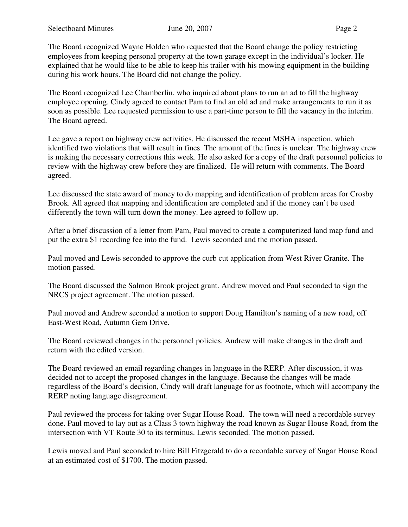The Board recognized Wayne Holden who requested that the Board change the policy restricting employees from keeping personal property at the town garage except in the individual's locker. He explained that he would like to be able to keep his trailer with his mowing equipment in the building during his work hours. The Board did not change the policy.

The Board recognized Lee Chamberlin, who inquired about plans to run an ad to fill the highway employee opening. Cindy agreed to contact Pam to find an old ad and make arrangements to run it as soon as possible. Lee requested permission to use a part-time person to fill the vacancy in the interim. The Board agreed.

Lee gave a report on highway crew activities. He discussed the recent MSHA inspection, which identified two violations that will result in fines. The amount of the fines is unclear. The highway crew is making the necessary corrections this week. He also asked for a copy of the draft personnel policies to review with the highway crew before they are finalized. He will return with comments. The Board agreed.

Lee discussed the state award of money to do mapping and identification of problem areas for Crosby Brook. All agreed that mapping and identification are completed and if the money can't be used differently the town will turn down the money. Lee agreed to follow up.

After a brief discussion of a letter from Pam, Paul moved to create a computerized land map fund and put the extra \$1 recording fee into the fund. Lewis seconded and the motion passed.

Paul moved and Lewis seconded to approve the curb cut application from West River Granite. The motion passed.

The Board discussed the Salmon Brook project grant. Andrew moved and Paul seconded to sign the NRCS project agreement. The motion passed.

Paul moved and Andrew seconded a motion to support Doug Hamilton's naming of a new road, off East-West Road, Autumn Gem Drive.

The Board reviewed changes in the personnel policies. Andrew will make changes in the draft and return with the edited version.

The Board reviewed an email regarding changes in language in the RERP. After discussion, it was decided not to accept the proposed changes in the language. Because the changes will be made regardless of the Board's decision, Cindy will draft language for as footnote, which will accompany the RERP noting language disagreement.

Paul reviewed the process for taking over Sugar House Road. The town will need a recordable survey done. Paul moved to lay out as a Class 3 town highway the road known as Sugar House Road, from the intersection with VT Route 30 to its terminus. Lewis seconded. The motion passed.

Lewis moved and Paul seconded to hire Bill Fitzgerald to do a recordable survey of Sugar House Road at an estimated cost of \$1700. The motion passed.